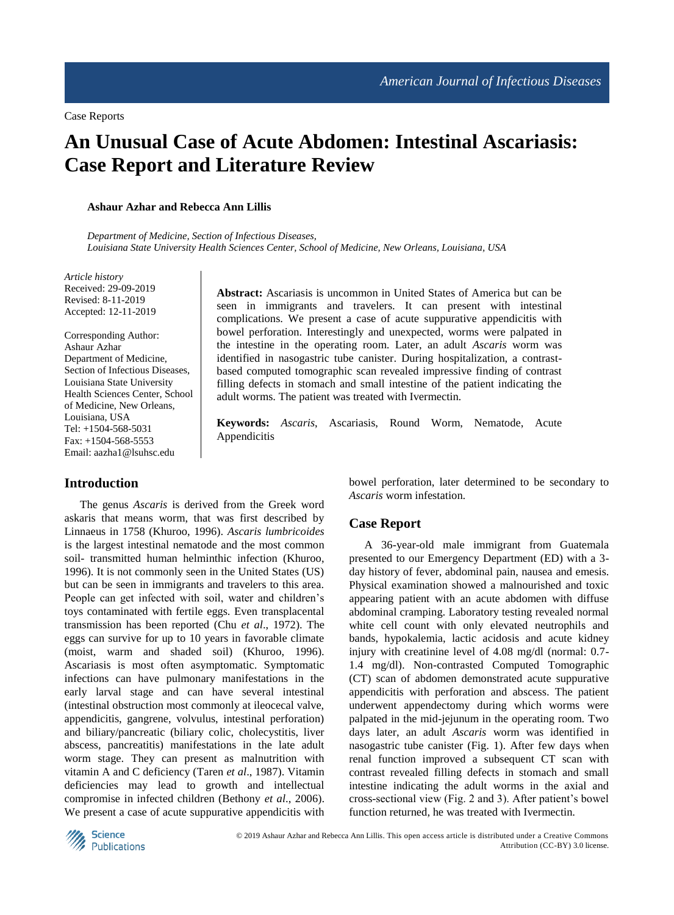# **An Unusual Case of Acute Abdomen: Intestinal Ascariasis: Case Report and Literature Review**

**Ashaur Azhar and Rebecca Ann Lillis**

*Department of Medicine, Section of Infectious Diseases, Louisiana State University Health Sciences Center, School of Medicine, New Orleans, Louisiana, USA*

*Article history* Received: 29-09-2019 Revised: 8-11-2019 Accepted: 12-11-2019

Corresponding Author: Ashaur Azhar Department of Medicine, Section of Infectious Diseases, Louisiana State University Health Sciences Center, School of Medicine, New Orleans, Louisiana, USA Tel: +1504-568-5031 Fax: +1504-568-5553 Email: aazha1@lsuhsc.edu

**Abstract:** Ascariasis is uncommon in United States of America but can be seen in immigrants and travelers. It can present with intestinal complications. We present a case of acute suppurative appendicitis with bowel perforation. Interestingly and unexpected, worms were palpated in the intestine in the operating room. Later, an adult *Ascaris* worm was identified in nasogastric tube canister. During hospitalization, a contrastbased computed tomographic scan revealed impressive finding of contrast filling defects in stomach and small intestine of the patient indicating the adult worms. The patient was treated with Ivermectin.

**Keywords:** *Ascaris*, Ascariasis, Round Worm, Nematode, Acute Appendicitis

## **Introduction**

The genus *Ascaris* is derived from the Greek word askaris that means worm, that was first described by Linnaeus in 1758 (Khuroo, 1996). *Ascaris lumbricoides* is the largest intestinal nematode and the most common soil- transmitted human helminthic infection (Khuroo, 1996). It is not commonly seen in the United States (US) but can be seen in immigrants and travelers to this area. People can get infected with soil, water and children's toys contaminated with fertile eggs. Even transplacental transmission has been reported (Chu *et al*., 1972). The eggs can survive for up to 10 years in favorable climate (moist, warm and shaded soil) (Khuroo, 1996). Ascariasis is most often asymptomatic. Symptomatic infections can have pulmonary manifestations in the early larval stage and can have several intestinal (intestinal obstruction most commonly at ileocecal valve, appendicitis, gangrene, volvulus, intestinal perforation) and biliary/pancreatic (biliary colic, cholecystitis, liver abscess, pancreatitis) manifestations in the late adult worm stage. They can present as malnutrition with vitamin A and C deficiency (Taren *et al*., 1987). Vitamin deficiencies may lead to growth and intellectual compromise in infected children (Bethony *et al*., 2006). We present a case of acute suppurative appendicitis with

bowel perforation, later determined to be secondary to *Ascaris* worm infestation.

#### **Case Report**

A 36-year-old male immigrant from Guatemala presented to our Emergency Department (ED) with a 3 day history of fever, abdominal pain, nausea and emesis. Physical examination showed a malnourished and toxic appearing patient with an acute abdomen with diffuse abdominal cramping. Laboratory testing revealed normal white cell count with only elevated neutrophils and bands, hypokalemia, lactic acidosis and acute kidney injury with creatinine level of 4.08 mg/dl (normal: 0.7- 1.4 mg/dl). Non-contrasted Computed Tomographic (CT) scan of abdomen demonstrated acute suppurative appendicitis with perforation and abscess. The patient underwent appendectomy during which worms were palpated in the mid-jejunum in the operating room. Two days later, an adult *Ascaris* worm was identified in nasogastric tube canister (Fig. 1). After few days when renal function improved a subsequent CT scan with contrast revealed filling defects in stomach and small intestine indicating the adult worms in the axial and cross-sectional view (Fig. 2 and 3). After patient's bowel function returned, he was treated with Ivermectin.

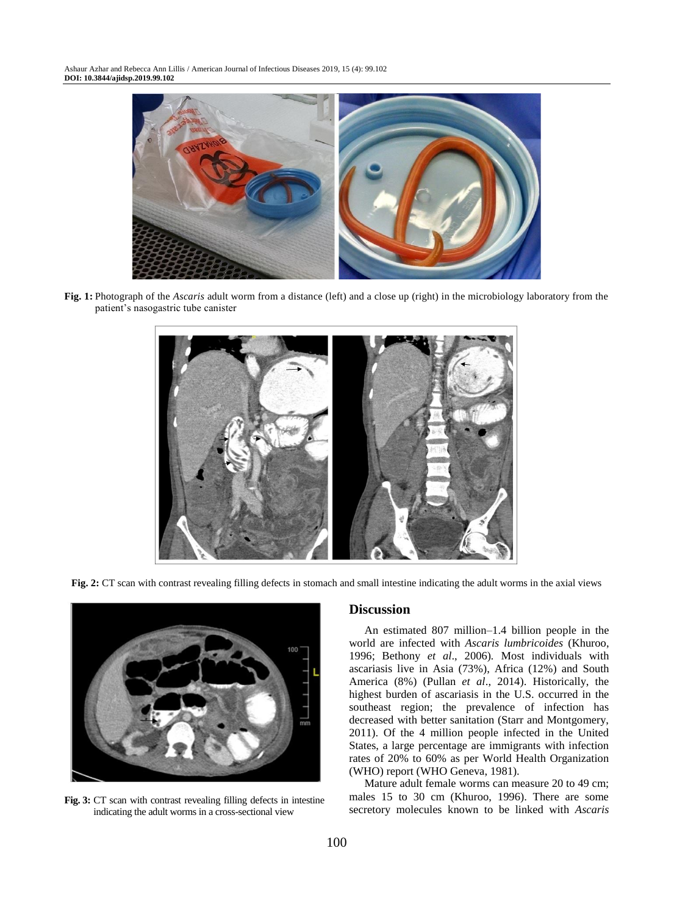

**Fig. 1:** Photograph of the *Ascaris* adult worm from a distance (left) and a close up (right) in the microbiology laboratory from the patient's nasogastric tube canister



Fig. 2: CT scan with contrast revealing filling defects in stomach and small intestine indicating the adult worms in the axial views



**Fig. 3:** CT scan with contrast revealing filling defects in intestine indicating the adult worms in a cross-sectional view

### **Discussion**

An estimated 807 million–1.4 billion people in the world are infected with *Ascaris lumbricoides* (Khuroo, 1996; Bethony *et al*., 2006)*.* Most individuals with ascariasis live in Asia (73%), Africa (12%) and South America (8%) (Pullan *et al*., 2014). Historically, the highest burden of ascariasis in the U.S. occurred in the southeast region; the prevalence of infection has decreased with better sanitation (Starr and Montgomery, 2011). Of the 4 million people infected in the United States, a large percentage are immigrants with infection rates of 20% to 60% as per World Health Organization (WHO) report (WHO Geneva, 1981).

Mature adult female worms can measure 20 to 49 cm; males 15 to 30 cm (Khuroo, 1996). There are some secretory molecules known to be linked with *Ascaris*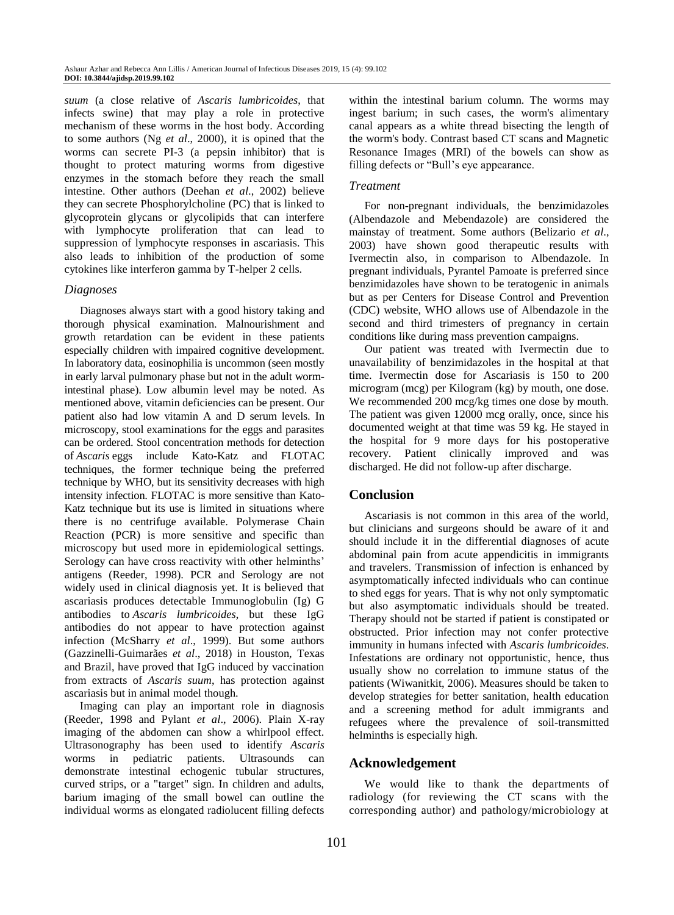*suum* (a close relative of *Ascaris lumbricoides*, that infects swine) that may play a role in protective mechanism of these worms in the host body. According to some authors (Ng *et al*., 2000), it is opined that the worms can secrete PI-3 (a pepsin inhibitor) that is thought to protect maturing worms from digestive enzymes in the stomach before they reach the small intestine. Other authors (Deehan *et al*., 2002) believe they can secrete Phosphorylcholine (PC) that is linked to glycoprotein glycans or glycolipids that can interfere with lymphocyte proliferation that can lead to suppression of lymphocyte responses in ascariasis. This also leads to inhibition of the production of some cytokines like interferon gamma by T-helper 2 cells.

### *Diagnoses*

Diagnoses always start with a good history taking and thorough physical examination. Malnourishment and growth retardation can be evident in these patients especially children with impaired cognitive development. In laboratory data, eosinophilia is uncommon (seen mostly in early larval pulmonary phase but not in the adult wormintestinal phase). Low albumin level may be noted. As mentioned above, vitamin deficiencies can be present. Our patient also had low vitamin A and D serum levels. In microscopy, stool examinations for the eggs and parasites can be ordered. Stool concentration methods for detection of *Ascaris* eggs include Kato-Katz and FLOTAC techniques, the former technique being the preferred technique by WHO, but its sensitivity decreases with high intensity infection. FLOTAC is more sensitive than Kato-Katz technique but its use is limited in situations where there is no centrifuge available. Polymerase Chain Reaction (PCR) is more sensitive and specific than microscopy but used more in epidemiological settings. Serology can have cross reactivity with other helminths' antigens (Reeder, 1998). PCR and Serology are not widely used in clinical diagnosis yet. It is believed that ascariasis produces detectable Immunoglobulin (Ig) G antibodies to *Ascaris lumbricoides*, but these IgG antibodies do not appear to have protection against infection (McSharry *et al*., 1999). But some authors (Gazzinelli-Guimarães *et al*., 2018) in Houston, Texas and Brazil, have proved that IgG induced by vaccination from extracts of *Ascaris suum*, has protection against ascariasis but in animal model though.

Imaging can play an important role in diagnosis (Reeder, 1998 and Pylant *et al*., 2006). Plain X-ray imaging of the abdomen can show a whirlpool effect. Ultrasonography has been used to identify *Ascaris*  worms in pediatric patients. Ultrasounds can demonstrate intestinal echogenic tubular structures, curved strips, or a "target" sign. In children and adults, barium imaging of the small bowel can outline the individual worms as elongated radiolucent filling defects

within the intestinal barium column. The worms may ingest barium; in such cases, the worm's alimentary canal appears as a white thread bisecting the length of the worm's body. Contrast based CT scans and Magnetic Resonance Images (MRI) of the bowels can show as filling defects or "Bull's eye appearance.

#### *Treatment*

For non-pregnant individuals, the benzimidazoles (Albendazole and Mebendazole) are considered the mainstay of treatment. Some authors (Belizario *et al*., 2003) have shown good therapeutic results with Ivermectin also, in comparison to Albendazole. In pregnant individuals, Pyrantel Pamoate is preferred since benzimidazoles have shown to be teratogenic in animals but as per Centers for Disease Control and Prevention (CDC) website, WHO allows use of Albendazole in the second and third trimesters of pregnancy in certain conditions like during mass prevention campaigns.

Our patient was treated with Ivermectin due to unavailability of benzimidazoles in the hospital at that time. Ivermectin dose for Ascariasis is 150 to 200 microgram (mcg) per Kilogram (kg) by mouth, one dose. We recommended 200 mcg/kg times one dose by mouth. The patient was given 12000 mcg orally, once, since his documented weight at that time was 59 kg. He stayed in the hospital for 9 more days for his postoperative recovery. Patient clinically improved and was discharged. He did not follow-up after discharge.

## **Conclusion**

Ascariasis is not common in this area of the world, but clinicians and surgeons should be aware of it and should include it in the differential diagnoses of acute abdominal pain from acute appendicitis in immigrants and travelers. Transmission of infection is enhanced by asymptomatically infected individuals who can continue to shed eggs for years. That is why not only symptomatic but also asymptomatic individuals should be treated. Therapy should not be started if patient is constipated or obstructed. Prior infection may not confer protective immunity in humans infected with *Ascaris lumbricoides*. Infestations are ordinary not opportunistic, hence, thus usually show no correlation to immune status of the patients (Wiwanitkit, 2006). Measures should be taken to develop strategies for better sanitation, health education and a screening method for adult immigrants and refugees where the prevalence of soil-transmitted helminths is especially high.

## **Acknowledgement**

We would like to thank the departments of radiology (for reviewing the CT scans with the corresponding author) and pathology/microbiology at